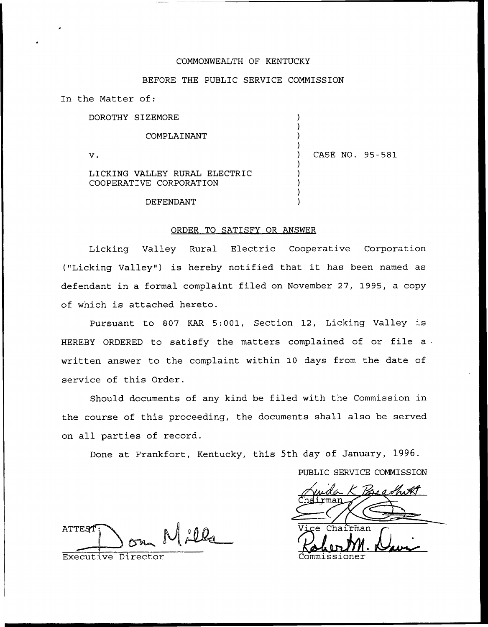## COMMONWEALTH OF KENTUCKY

### BEFORE THE PUBLIC SERVICE COMMISSION

) ) ) )

) ) ) ) )

In the Matter of:

DOROTHY SIZEMORE

COMPLAINANT

 $\mathbf v$ .

) CASE NO. 95-581

LICKING VALLEY RURAL ELECTRIC COOPERATIVE CORPORATION

DEFENDANT

## ORDER TO SATISFY OR ANSWER

Licking Valley Rural Electric Cooperative Corporation ("Licking Valley") is hereby notified that it has been named as defendant in a formal complaint filed on November 27, 1995, a copy of which is attached hereto.

Pursuant to 807 KAR 5:001, Section 12, Licking Valley is HEREBY ORDERED to satisfy the matters complained of or file <sup>a</sup> written answer to the complaint within 10 days from the date of service of this Order.

Should documents of any kind be filed with the Commission in the course of this proceeding, the documents shall also be served on all parties of record.

Done at Frankfort, Kentucky, this 5th day of January, 1996.

PUBLIC SERVICE COMMISSION

ATTEST  $00<sub>a</sub>$ 

Executive Director

m̃an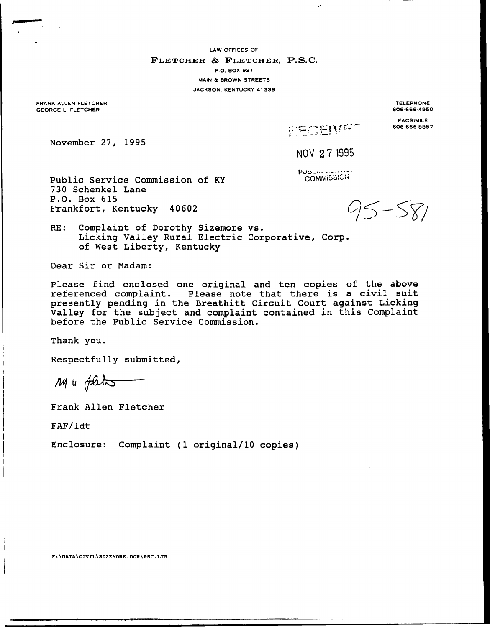LAW OFFICES OF

#### FLETCHER & FLETCHER, P.S.C.

P.O. BOX 931 MAIN & BROWN STREETS

JACKSON. KENTUCKY 41339

FRANK ALLEN FLETCHER GEORGE L. FLETCHER

TELEPHONE 606-666-4950

FACSIMILE 606.666-8857

November 27, 1995

NO% 27 1995

Pillage of **COMMISSION** 

FECEIVER

 $\ddot{\phantom{0}}$ 

Public Service Commission of KY 730 Schenkel Lane P.O. Box 615 Frankfort, Kentucky 40602

 $95 - 581$ 

RE: Complaint of Dorothy Sizemore vs. Licking Valley Rural Electric Corporative, Corp. of West Liberty, Kentucky

Dear Sir or Madam:

Please find enclosed one original and ten copies of the above referenced complaint. Please note that there is a civil suit presently pending in the Breathitt Circuit Court against Licking Valley for the subject and complaint contained in this Complaint before the Public Service Commission.

Thank you.

Respectfully submitted,

Mu flets

Frank Allen Fletcher

FAF/ldt

Enclosure: Complaint (1 original/10 copies)

F:\DATA\CIVIL\SIZEMORE.DOR\PSC.LTR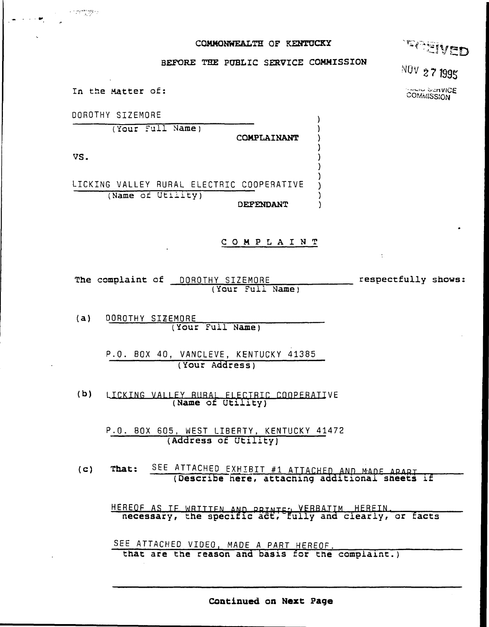## COMMONWEALTH OF KENTUCKY



# BEFORE THE PUBLIC SERVICE COMMISSION

)

 $\mathbf{A}$ 

)

-1

 $\lambda$ 

**NOV 27 1995** 

**AND SCRVICE COMMISSION** 

In the Matter of:

DOROTHY SIZEMORE (Your Full Name) COMPLAINANT VS.

LICKING VALLEY RURAL ELECTRIC COOPERATIVE (Name of Utility) DEFENDANT

## COMPLAINT

The complaint of DOROTHY SIZEMORE respectfully shows: (Your Full Name)

 $(a)$ DOROTHY SIZEMORE (Your Full Name)

> P.O. BOX 40, VANCLEVE, KENTUCKY 41385 (Your Address)

 $(b)$ LICKING VALLEY RURAL ELECTRIC COOPERATIVE (Name of Utility)

P.O. BOX 605, WEST LIBERTY, KENTUCKY 41472 (Address of Utility)

SEE ATTACHED EXHIBIT #1 ATTACHED AND MADE ARART That:  $(C)$ (Describe here, attaching additional sheets if

HEREOF AS IF WRITTEN AND PRINTED VERBATIM HEREIN. THEREOF AS IF WRITTEN AND PRINTED VERBATIM HEREIN.

SEE ATTACHED VIDEO, MADE A PART HEREOF.

that are the reason and basis for the complaint.)